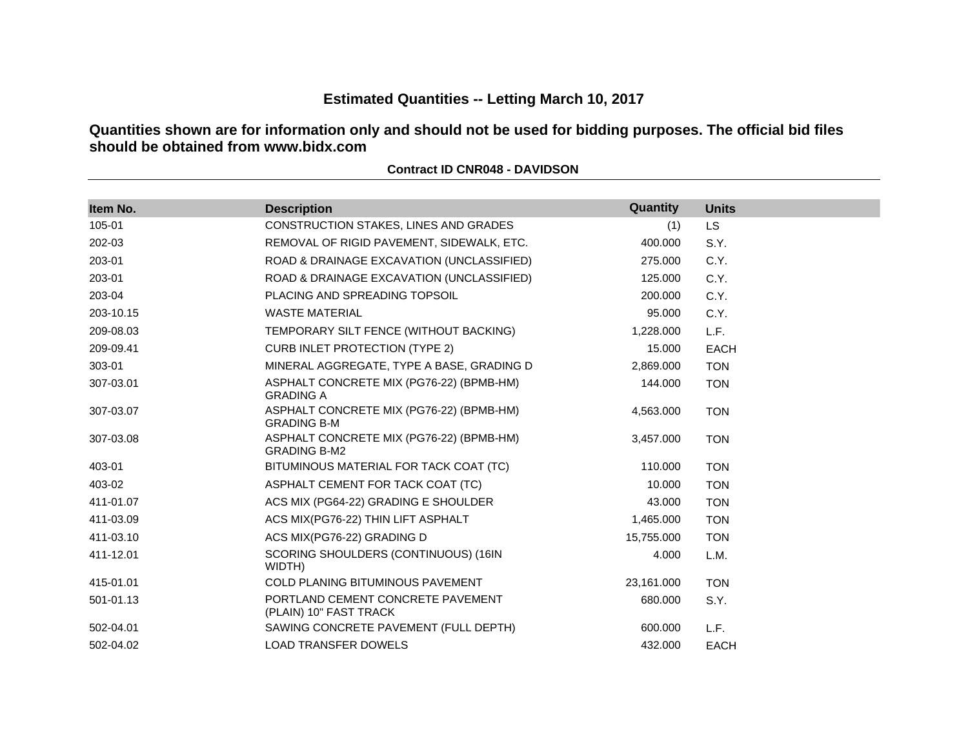# **Estimated Quantities -- Letting March 10, 2017**

**Quantities shown are for information only and should not be used for bidding purposes. The official bid files should be obtained from www.bidx.com**

| Item No.  | <b>Description</b>                                              | Quantity   | <b>Units</b> |
|-----------|-----------------------------------------------------------------|------------|--------------|
| 105-01    | CONSTRUCTION STAKES, LINES AND GRADES                           | (1)        | <b>LS</b>    |
| 202-03    | REMOVAL OF RIGID PAVEMENT, SIDEWALK, ETC.                       | 400.000    | S.Y.         |
| 203-01    | ROAD & DRAINAGE EXCAVATION (UNCLASSIFIED)                       | 275.000    | C.Y.         |
| 203-01    | ROAD & DRAINAGE EXCAVATION (UNCLASSIFIED)                       | 125.000    | C.Y.         |
| 203-04    | PLACING AND SPREADING TOPSOIL                                   | 200,000    | C.Y.         |
| 203-10.15 | <b>WASTE MATERIAL</b>                                           | 95.000     | C.Y.         |
| 209-08.03 | TEMPORARY SILT FENCE (WITHOUT BACKING)                          | 1,228.000  | L.F.         |
| 209-09.41 | <b>CURB INLET PROTECTION (TYPE 2)</b>                           | 15.000     | <b>EACH</b>  |
| 303-01    | MINERAL AGGREGATE, TYPE A BASE, GRADING D                       | 2,869.000  | <b>TON</b>   |
| 307-03.01 | ASPHALT CONCRETE MIX (PG76-22) (BPMB-HM)<br><b>GRADING A</b>    | 144.000    | <b>TON</b>   |
| 307-03.07 | ASPHALT CONCRETE MIX (PG76-22) (BPMB-HM)<br><b>GRADING B-M</b>  | 4,563.000  | <b>TON</b>   |
| 307-03.08 | ASPHALT CONCRETE MIX (PG76-22) (BPMB-HM)<br><b>GRADING B-M2</b> | 3,457.000  | <b>TON</b>   |
| 403-01    | BITUMINOUS MATERIAL FOR TACK COAT (TC)                          | 110.000    | <b>TON</b>   |
| 403-02    | ASPHALT CEMENT FOR TACK COAT (TC)                               | 10.000     | <b>TON</b>   |
| 411-01.07 | ACS MIX (PG64-22) GRADING E SHOULDER                            | 43.000     | <b>TON</b>   |
| 411-03.09 | ACS MIX(PG76-22) THIN LIFT ASPHALT                              | 1,465.000  | <b>TON</b>   |
| 411-03.10 | ACS MIX(PG76-22) GRADING D                                      | 15,755.000 | <b>TON</b>   |
| 411-12.01 | SCORING SHOULDERS (CONTINUOUS) (16IN<br>WIDTH)                  | 4.000      | L.M.         |
| 415-01.01 | <b>COLD PLANING BITUMINOUS PAVEMENT</b>                         | 23,161.000 | <b>TON</b>   |
| 501-01.13 | PORTLAND CEMENT CONCRETE PAVEMENT<br>(PLAIN) 10" FAST TRACK     | 680.000    | S.Y.         |
| 502-04.01 | SAWING CONCRETE PAVEMENT (FULL DEPTH)                           | 600.000    | L.F.         |
| 502-04.02 | <b>LOAD TRANSFER DOWELS</b>                                     | 432,000    | <b>EACH</b>  |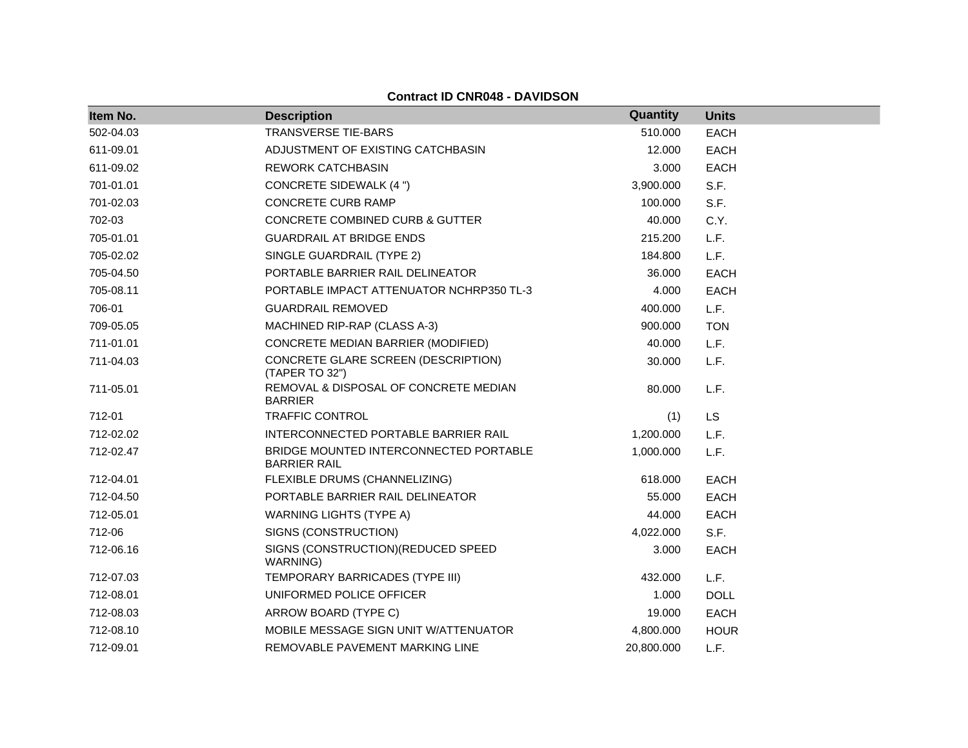| Item No.  | <b>Description</b>                                            | Quantity   | <b>Units</b> |
|-----------|---------------------------------------------------------------|------------|--------------|
| 502-04.03 | <b>TRANSVERSE TIE-BARS</b>                                    | 510.000    | <b>EACH</b>  |
| 611-09.01 | ADJUSTMENT OF EXISTING CATCHBASIN                             | 12.000     | <b>EACH</b>  |
| 611-09.02 | <b>REWORK CATCHBASIN</b>                                      | 3.000      | <b>EACH</b>  |
| 701-01.01 | <b>CONCRETE SIDEWALK (4 ")</b>                                | 3,900.000  | S.F.         |
| 701-02.03 | <b>CONCRETE CURB RAMP</b>                                     | 100.000    | S.F.         |
| 702-03    | <b>CONCRETE COMBINED CURB &amp; GUTTER</b>                    | 40.000     | C.Y.         |
| 705-01.01 | <b>GUARDRAIL AT BRIDGE ENDS</b>                               | 215.200    | L.F.         |
| 705-02.02 | SINGLE GUARDRAIL (TYPE 2)                                     | 184.800    | L.F.         |
| 705-04.50 | PORTABLE BARRIER RAIL DELINEATOR                              | 36,000     | <b>EACH</b>  |
| 705-08.11 | PORTABLE IMPACT ATTENUATOR NCHRP350 TL-3                      | 4.000      | <b>EACH</b>  |
| 706-01    | <b>GUARDRAIL REMOVED</b>                                      | 400.000    | L.F.         |
| 709-05.05 | MACHINED RIP-RAP (CLASS A-3)                                  | 900.000    | <b>TON</b>   |
| 711-01.01 | CONCRETE MEDIAN BARRIER (MODIFIED)                            | 40.000     | L.F.         |
| 711-04.03 | CONCRETE GLARE SCREEN (DESCRIPTION)<br>(TAPER TO 32")         | 30.000     | L.F.         |
| 711-05.01 | REMOVAL & DISPOSAL OF CONCRETE MEDIAN<br><b>BARRIER</b>       | 80.000     | L.F.         |
| 712-01    | <b>TRAFFIC CONTROL</b>                                        | (1)        | <b>LS</b>    |
| 712-02.02 | INTERCONNECTED PORTABLE BARRIER RAIL                          | 1,200.000  | L.F.         |
| 712-02.47 | BRIDGE MOUNTED INTERCONNECTED PORTABLE<br><b>BARRIER RAIL</b> | 1,000.000  | L.F.         |
| 712-04.01 | FLEXIBLE DRUMS (CHANNELIZING)                                 | 618.000    | <b>EACH</b>  |
| 712-04.50 | PORTABLE BARRIER RAIL DELINEATOR                              | 55.000     | <b>EACH</b>  |
| 712-05.01 | <b>WARNING LIGHTS (TYPE A)</b>                                | 44.000     | <b>EACH</b>  |
| 712-06    | SIGNS (CONSTRUCTION)                                          | 4,022.000  | S.F.         |
| 712-06.16 | SIGNS (CONSTRUCTION) (REDUCED SPEED<br>WARNING)               | 3.000      | <b>EACH</b>  |
| 712-07.03 | TEMPORARY BARRICADES (TYPE III)                               | 432.000    | L.F.         |
| 712-08.01 | UNIFORMED POLICE OFFICER                                      | 1.000      | <b>DOLL</b>  |
| 712-08.03 | ARROW BOARD (TYPE C)                                          | 19.000     | <b>EACH</b>  |
| 712-08.10 | MOBILE MESSAGE SIGN UNIT WATTENUATOR                          | 4,800.000  | <b>HOUR</b>  |
| 712-09.01 | REMOVABLE PAVEMENT MARKING LINE                               | 20,800.000 | L.F.         |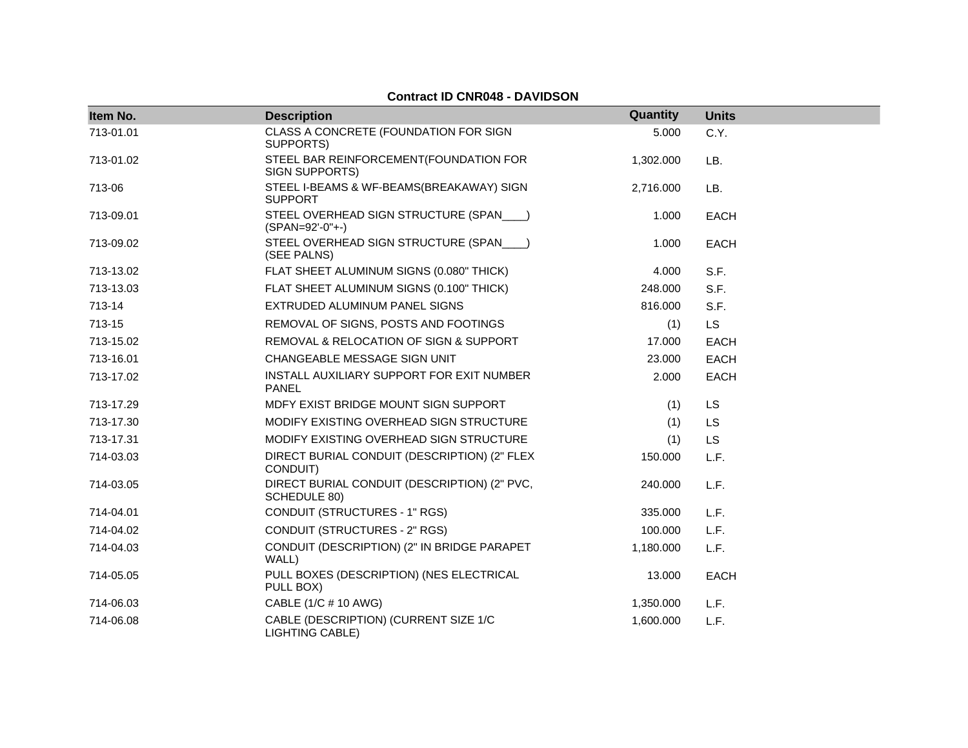#### **Item No. Description Quantity Units** 713-01.01 CLASS A CONCRETE (FOUNDATION FOR SIGN SUPPORTS) 5.000 C.Y. 713-01.02 STEEL BAR REINFORCEMENT(FOUNDATION FOR SIGN SUPPORTS) 1,302.000 LB. 713-06 STEEL I-BEAMS & WF-BEAMS(BREAKAWAY) SIGN SUPPORT 2,716.000 LB. 713-09.01 STEEL OVERHEAD SIGN STRUCTURE (SPAN\_\_\_\_) (SPAN=92'-0"+-) 1.000 EACH 713-09.02 STEEL OVERHEAD SIGN STRUCTURE (SPAN\_\_\_\_) (SEE PALNS) 1.000 EACH 713-13.02 FLAT SHEET ALUMINUM SIGNS (0.080" THICK) 4.000 S.F. 713-13.03 FLAT SHEET ALUMINUM SIGNS (0.100" THICK) 248.000 S.F. 713-14 EXTRUDED ALUMINUM PANEL SIGNS 816.000 S.F. 713-15 REMOVAL OF SIGNS, POSTS AND FOOTINGS (1) LS 713-15.02 REMOVAL & RELOCATION OF SIGN & SUPPORT 17.000 EACH 713-16.01 CHANGEABLE MESSAGE SIGN UNIT 23.000 EACH 713-17.02 INSTALL AUXILIARY SUPPORT FOR EXIT NUMBER PANEL 2.000 EACH 713-17.29 MDFY EXIST BRIDGE MOUNT SIGN SUPPORT (1) LS 713-17.30 MODIFY EXISTING OVERHEAD SIGN STRUCTURE (1) LS 713-17.31 MODIFY EXISTING OVERHEAD SIGN STRUCTURE (1) LS 714-03.03 DIRECT BURIAL CONDUIT (DESCRIPTION) (2" FLEX CONDUIT) 150.000 L.F. 714-03.05 DIRECT BURIAL CONDUIT (DESCRIPTION) (2" PVC, SCHEDULE 80) 240.000 L.F. 714-04.01 CONDUIT (STRUCTURES - 1" RGS) 335.000 L.F. 714-04.02 CONDUIT (STRUCTURES - 2" RGS) 100.000 L.F. 714-04.03 CONDUIT (DESCRIPTION) (2" IN BRIDGE PARAPET WALL) 1,180.000 L.F. 714-05.05 PULL BOXES (DESCRIPTION) (NES ELECTRICAL PULL BOX) 13.000 EACH 714-06.03 CABLE (1/C # 10 AWG) 1,350.000 L.F. 714-06.08 CABLE (DESCRIPTION) (CURRENT SIZE 1/C 1,600.000 L.F.

LIGHTING CABLE)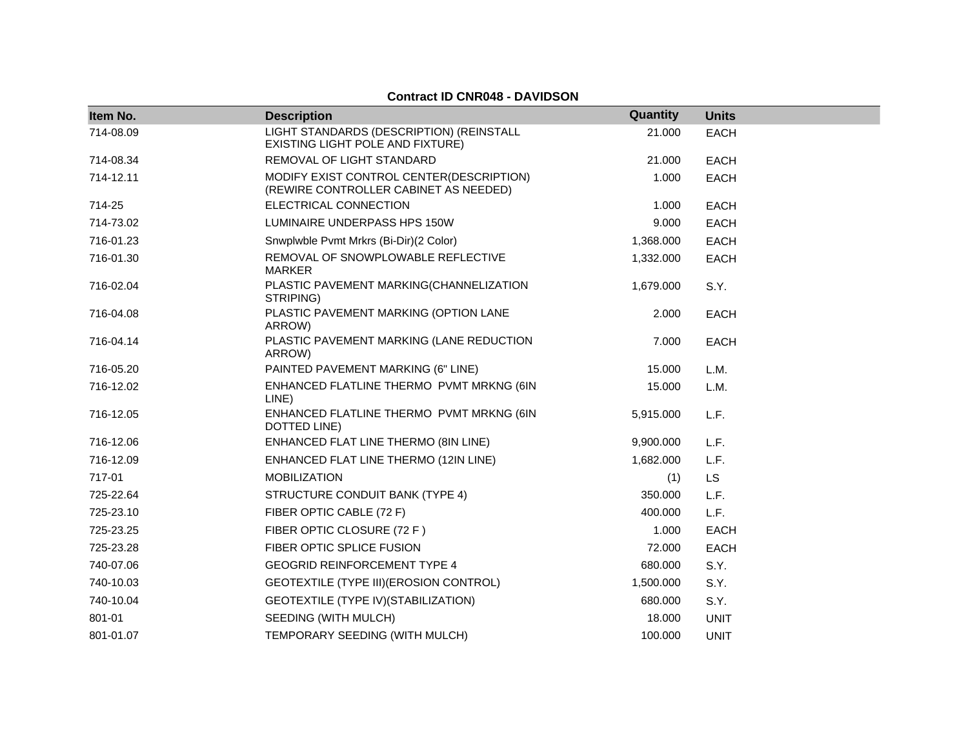| Item No.  | <b>Description</b>                                                                | Quantity  | <b>Units</b> |
|-----------|-----------------------------------------------------------------------------------|-----------|--------------|
| 714-08.09 | LIGHT STANDARDS (DESCRIPTION) (REINSTALL<br>EXISTING LIGHT POLE AND FIXTURE)      | 21.000    | <b>EACH</b>  |
| 714-08.34 | REMOVAL OF LIGHT STANDARD                                                         | 21.000    | <b>EACH</b>  |
| 714-12.11 | MODIFY EXIST CONTROL CENTER(DESCRIPTION)<br>(REWIRE CONTROLLER CABINET AS NEEDED) | 1.000     | <b>EACH</b>  |
| 714-25    | ELECTRICAL CONNECTION                                                             | 1.000     | <b>EACH</b>  |
| 714-73.02 | LUMINAIRE UNDERPASS HPS 150W                                                      | 9.000     | <b>EACH</b>  |
| 716-01.23 | Snwplwble Pvmt Mrkrs (Bi-Dir)(2 Color)                                            | 1,368.000 | EACH         |
| 716-01.30 | REMOVAL OF SNOWPLOWABLE REFLECTIVE<br><b>MARKER</b>                               | 1,332.000 | <b>EACH</b>  |
| 716-02.04 | PLASTIC PAVEMENT MARKING(CHANNELIZATION<br>STRIPING)                              | 1,679.000 | S.Y.         |
| 716-04.08 | PLASTIC PAVEMENT MARKING (OPTION LANE<br>ARROW)                                   | 2.000     | <b>EACH</b>  |
| 716-04.14 | PLASTIC PAVEMENT MARKING (LANE REDUCTION<br>ARROW)                                | 7.000     | <b>EACH</b>  |
| 716-05.20 | PAINTED PAVEMENT MARKING (6" LINE)                                                | 15.000    | L.M.         |
| 716-12.02 | ENHANCED FLATLINE THERMO PVMT MRKNG (6IN<br>LINE)                                 | 15.000    | L.M.         |
| 716-12.05 | ENHANCED FLATLINE THERMO PVMT MRKNG (6IN<br>DOTTED LINE)                          | 5,915.000 | L.F.         |
| 716-12.06 | ENHANCED FLAT LINE THERMO (8IN LINE)                                              | 9,900.000 | L.F.         |
| 716-12.09 | ENHANCED FLAT LINE THERMO (12IN LINE)                                             | 1,682.000 | L.F.         |
| 717-01    | <b>MOBILIZATION</b>                                                               | (1)       | LS           |
| 725-22.64 | STRUCTURE CONDUIT BANK (TYPE 4)                                                   | 350.000   | L.F.         |
| 725-23.10 | FIBER OPTIC CABLE (72 F)                                                          | 400.000   | L.F.         |
| 725-23.25 | FIBER OPTIC CLOSURE (72 F)                                                        | 1.000     | <b>EACH</b>  |
| 725-23.28 | FIBER OPTIC SPLICE FUSION                                                         | 72.000    | <b>EACH</b>  |
| 740-07.06 | <b>GEOGRID REINFORCEMENT TYPE 4</b>                                               | 680.000   | S.Y.         |
| 740-10.03 | GEOTEXTILE (TYPE III) (EROSION CONTROL)                                           | 1,500.000 | S.Y.         |
| 740-10.04 | GEOTEXTILE (TYPE IV) (STABILIZATION)                                              | 680.000   | S.Y.         |
| 801-01    | SEEDING (WITH MULCH)                                                              | 18.000    | <b>UNIT</b>  |
| 801-01.07 | TEMPORARY SEEDING (WITH MULCH)                                                    | 100.000   | <b>UNIT</b>  |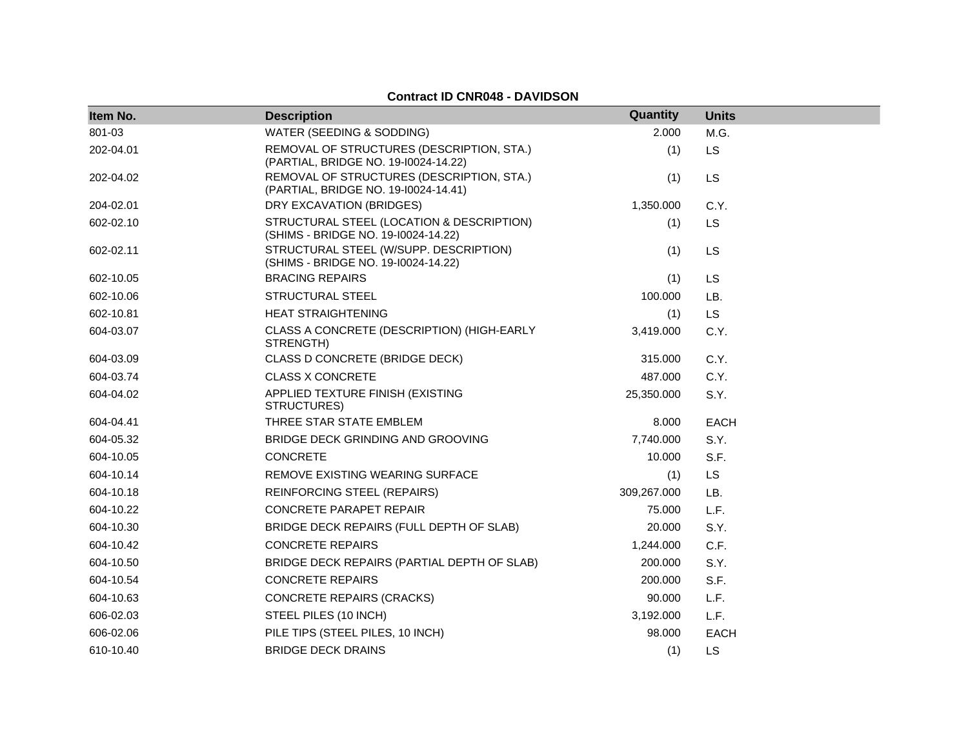| Item No.  | <b>Description</b>                                                                | Quantity    | <b>Units</b> |
|-----------|-----------------------------------------------------------------------------------|-------------|--------------|
| 801-03    | WATER (SEEDING & SODDING)                                                         | 2.000       | M.G.         |
| 202-04.01 | REMOVAL OF STRUCTURES (DESCRIPTION, STA.)<br>(PARTIAL, BRIDGE NO. 19-10024-14.22) | (1)         | LS           |
| 202-04.02 | REMOVAL OF STRUCTURES (DESCRIPTION, STA.)<br>(PARTIAL, BRIDGE NO. 19-10024-14.41) | (1)         | LS           |
| 204-02.01 | DRY EXCAVATION (BRIDGES)                                                          | 1,350.000   | C.Y.         |
| 602-02.10 | STRUCTURAL STEEL (LOCATION & DESCRIPTION)<br>(SHIMS - BRIDGE NO. 19-10024-14.22)  | (1)         | LS           |
| 602-02.11 | STRUCTURAL STEEL (W/SUPP. DESCRIPTION)<br>(SHIMS - BRIDGE NO. 19-10024-14.22)     | (1)         | LS           |
| 602-10.05 | <b>BRACING REPAIRS</b>                                                            | (1)         | <b>LS</b>    |
| 602-10.06 | STRUCTURAL STEEL                                                                  | 100.000     | LB.          |
| 602-10.81 | <b>HEAT STRAIGHTENING</b>                                                         | (1)         | LS           |
| 604-03.07 | CLASS A CONCRETE (DESCRIPTION) (HIGH-EARLY<br>STRENGTH)                           | 3,419.000   | C.Y.         |
| 604-03.09 | CLASS D CONCRETE (BRIDGE DECK)                                                    | 315.000     | C.Y.         |
| 604-03.74 | <b>CLASS X CONCRETE</b>                                                           | 487.000     | C.Y.         |
| 604-04.02 | APPLIED TEXTURE FINISH (EXISTING<br>STRUCTURES)                                   | 25,350.000  | S.Y.         |
| 604-04.41 | THREE STAR STATE EMBLEM                                                           | 8.000       | <b>EACH</b>  |
| 604-05.32 | BRIDGE DECK GRINDING AND GROOVING                                                 | 7,740.000   | S.Y.         |
| 604-10.05 | <b>CONCRETE</b>                                                                   | 10.000      | S.F.         |
| 604-10.14 | REMOVE EXISTING WEARING SURFACE                                                   | (1)         | LS           |
| 604-10.18 | <b>REINFORCING STEEL (REPAIRS)</b>                                                | 309,267.000 | LB.          |
| 604-10.22 | <b>CONCRETE PARAPET REPAIR</b>                                                    | 75.000      | L.F.         |
| 604-10.30 | BRIDGE DECK REPAIRS (FULL DEPTH OF SLAB)                                          | 20.000      | S.Y.         |
| 604-10.42 | <b>CONCRETE REPAIRS</b>                                                           | 1,244.000   | C.F.         |
| 604-10.50 | BRIDGE DECK REPAIRS (PARTIAL DEPTH OF SLAB)                                       | 200.000     | S.Y.         |
| 604-10.54 | <b>CONCRETE REPAIRS</b>                                                           | 200.000     | S.F.         |
| 604-10.63 | <b>CONCRETE REPAIRS (CRACKS)</b>                                                  | 90.000      | L.F.         |
| 606-02.03 | STEEL PILES (10 INCH)                                                             | 3,192.000   | L.F.         |
| 606-02.06 | PILE TIPS (STEEL PILES, 10 INCH)                                                  | 98.000      | <b>EACH</b>  |
| 610-10.40 | <b>BRIDGE DECK DRAINS</b>                                                         | (1)         | <b>LS</b>    |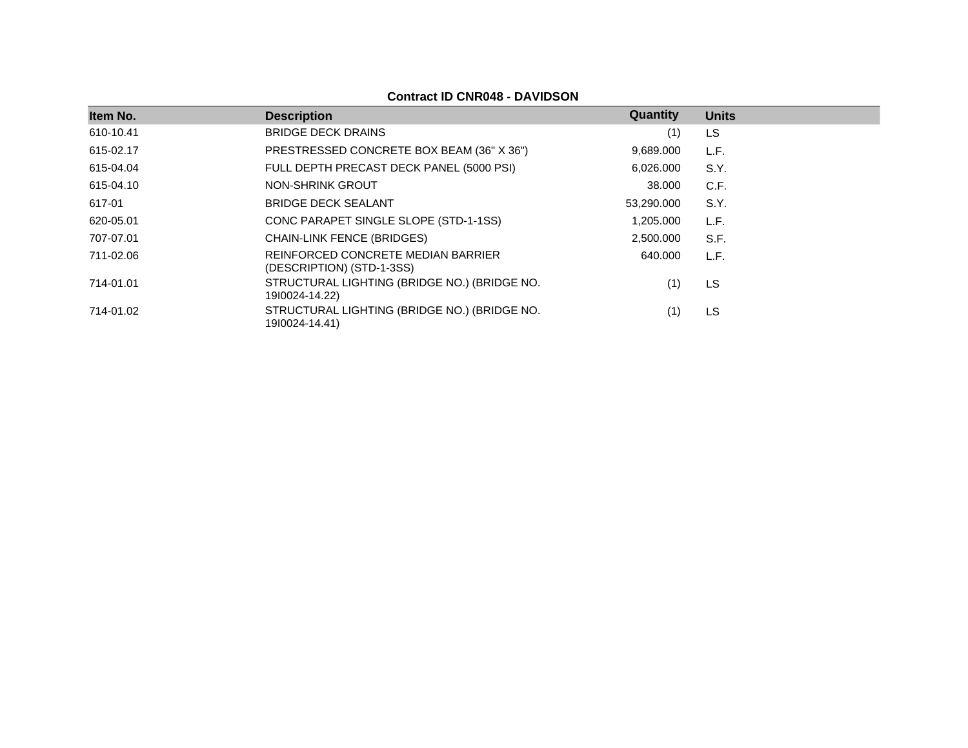| Item No.  | <b>Description</b>                                              | Quantity   | <b>Units</b> |
|-----------|-----------------------------------------------------------------|------------|--------------|
| 610-10.41 | <b>BRIDGE DECK DRAINS</b>                                       | (1)        | LS           |
| 615-02.17 | PRESTRESSED CONCRETE BOX BEAM (36" X 36")                       | 9,689.000  | L.F.         |
| 615-04.04 | FULL DEPTH PRECAST DECK PANEL (5000 PSI)                        | 6,026.000  | S.Y.         |
| 615-04.10 | NON-SHRINK GROUT                                                | 38.000     | C.F.         |
| 617-01    | <b>BRIDGE DECK SEALANT</b>                                      | 53,290.000 | S.Y.         |
| 620-05.01 | CONC PARAPET SINGLE SLOPE (STD-1-1SS)                           | 1,205.000  | L.F.         |
| 707-07.01 | <b>CHAIN-LINK FENCE (BRIDGES)</b>                               | 2,500.000  | S.F.         |
| 711-02.06 | REINFORCED CONCRETE MEDIAN BARRIER<br>(DESCRIPTION) (STD-1-3SS) | 640.000    | L.F.         |
| 714-01.01 | STRUCTURAL LIGHTING (BRIDGE NO.) (BRIDGE NO.<br>1910024-14.22)  | (1)        | LS           |
| 714-01.02 | STRUCTURAL LIGHTING (BRIDGE NO.) (BRIDGE NO.<br>1910024-14.41)  | (1)        | LS           |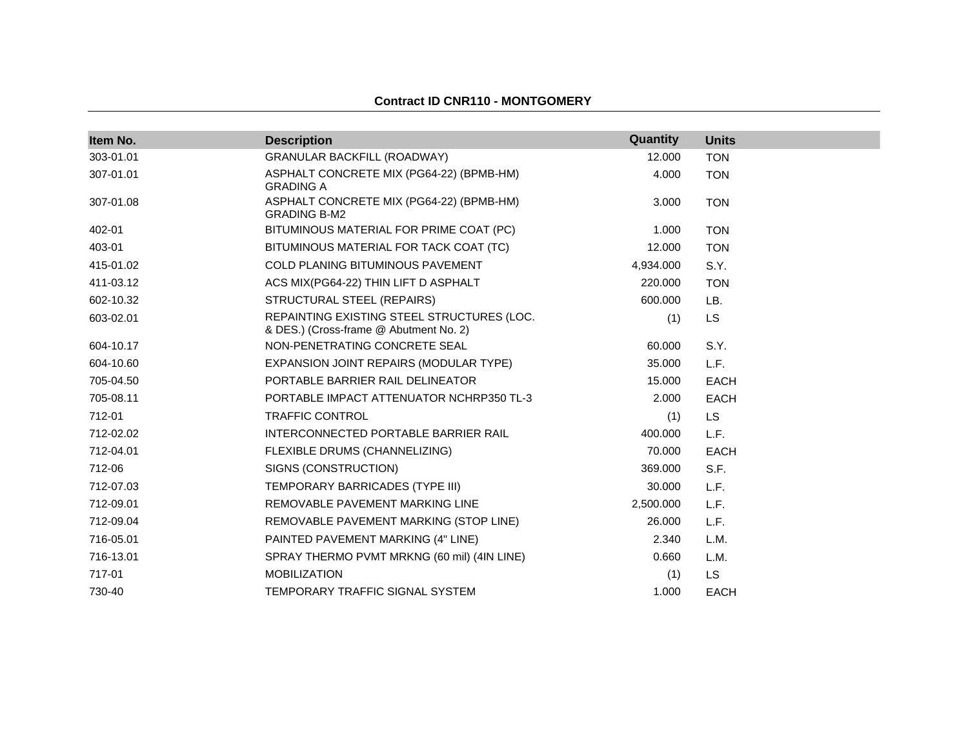### **Contract ID CNR110 - MONTGOMERY**

| Item No.  | <b>Description</b>                                                                   | Quantity  | <b>Units</b> |
|-----------|--------------------------------------------------------------------------------------|-----------|--------------|
| 303-01.01 | <b>GRANULAR BACKFILL (ROADWAY)</b>                                                   | 12.000    | <b>TON</b>   |
| 307-01.01 | ASPHALT CONCRETE MIX (PG64-22) (BPMB-HM)<br><b>GRADING A</b>                         | 4.000     | <b>TON</b>   |
| 307-01.08 | ASPHALT CONCRETE MIX (PG64-22) (BPMB-HM)<br><b>GRADING B-M2</b>                      | 3.000     | <b>TON</b>   |
| 402-01    | BITUMINOUS MATERIAL FOR PRIME COAT (PC)                                              | 1.000     | <b>TON</b>   |
| 403-01    | BITUMINOUS MATERIAL FOR TACK COAT (TC)                                               | 12.000    | <b>TON</b>   |
| 415-01.02 | <b>COLD PLANING BITUMINOUS PAVEMENT</b>                                              | 4,934.000 | S.Y.         |
| 411-03.12 | ACS MIX(PG64-22) THIN LIFT D ASPHALT                                                 | 220,000   | <b>TON</b>   |
| 602-10.32 | STRUCTURAL STEEL (REPAIRS)                                                           | 600.000   | LB.          |
| 603-02.01 | REPAINTING EXISTING STEEL STRUCTURES (LOC.<br>& DES.) (Cross-frame @ Abutment No. 2) | (1)       | LS.          |
| 604-10.17 | NON-PENETRATING CONCRETE SEAL                                                        | 60.000    | S.Y.         |
| 604-10.60 | EXPANSION JOINT REPAIRS (MODULAR TYPE)                                               | 35.000    | L.F.         |
| 705-04.50 | PORTABLE BARRIER RAIL DELINEATOR                                                     | 15.000    | <b>EACH</b>  |
| 705-08.11 | PORTABLE IMPACT ATTENUATOR NCHRP350 TL-3                                             | 2.000     | <b>EACH</b>  |
| 712-01    | <b>TRAFFIC CONTROL</b>                                                               | (1)       | LS.          |
| 712-02.02 | INTERCONNECTED PORTABLE BARRIER RAIL                                                 | 400.000   | L.F.         |
| 712-04.01 | FLEXIBLE DRUMS (CHANNELIZING)                                                        | 70.000    | <b>EACH</b>  |
| 712-06    | SIGNS (CONSTRUCTION)                                                                 | 369.000   | S.F.         |
| 712-07.03 | TEMPORARY BARRICADES (TYPE III)                                                      | 30.000    | L.F.         |
| 712-09.01 | REMOVABLE PAVEMENT MARKING LINE                                                      | 2,500.000 | L.F.         |
| 712-09.04 | REMOVABLE PAVEMENT MARKING (STOP LINE)                                               | 26.000    | L.F.         |
| 716-05.01 | PAINTED PAVEMENT MARKING (4" LINE)                                                   | 2.340     | L.M.         |
| 716-13.01 | SPRAY THERMO PVMT MRKNG (60 mil) (4IN LINE)                                          | 0.660     | L.M.         |
| 717-01    | <b>MOBILIZATION</b>                                                                  | (1)       | LS.          |
| 730-40    | TEMPORARY TRAFFIC SIGNAL SYSTEM                                                      | 1.000     | <b>EACH</b>  |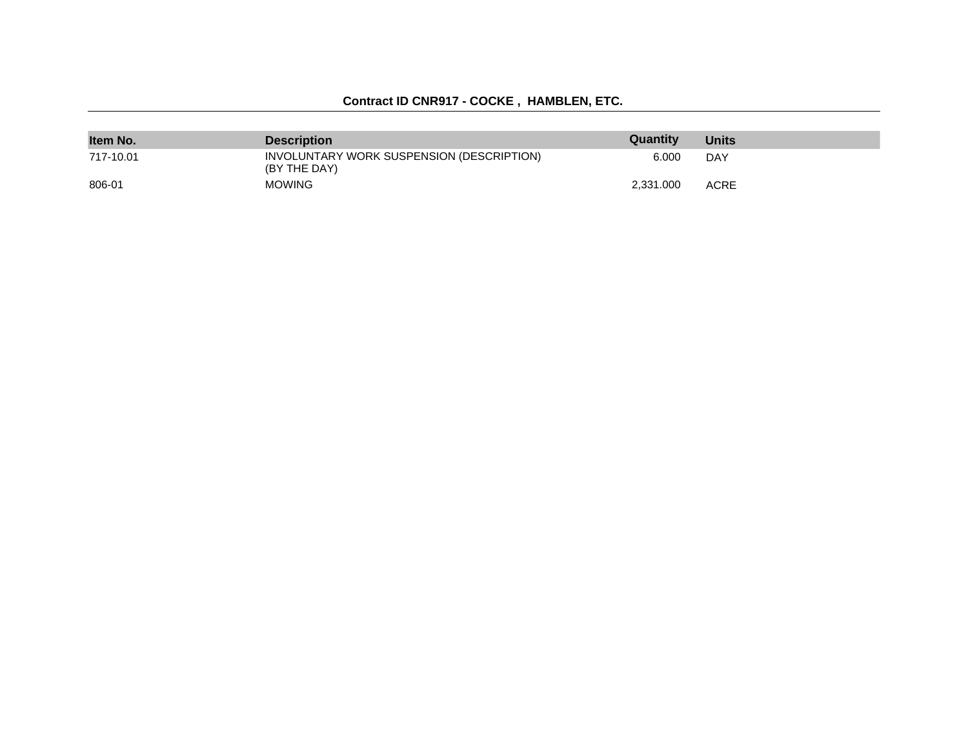## **Contract ID CNR917 - COCKE , HAMBLEN, ETC.**

| Item No.  | <b>Description</b>                                        | Quantity  | <b>Units</b> |
|-----------|-----------------------------------------------------------|-----------|--------------|
| 717-10.01 | INVOLUNTARY WORK SUSPENSION (DESCRIPTION)<br>(BY THE DAY) | 6.000     | DAY          |
| 806-01    | <b>MOWING</b>                                             | 2.331.000 | ACRE         |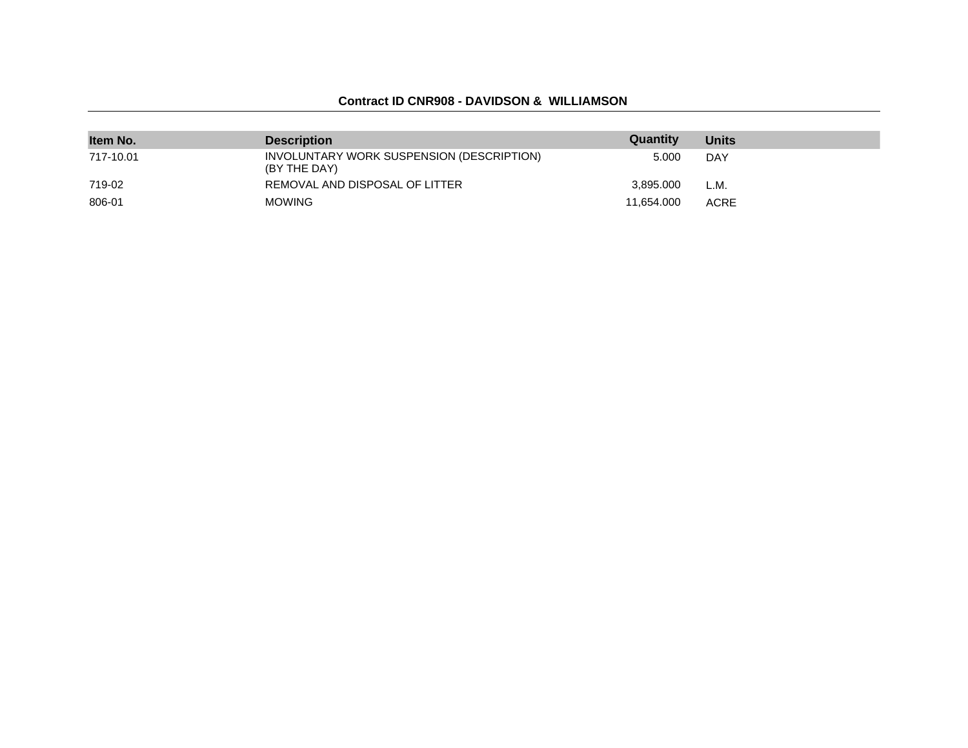#### **Contract ID CNR908 - DAVIDSON & WILLIAMSON**

| Item No.  | <b>Description</b>                                        | Quantity   | <b>Units</b> |
|-----------|-----------------------------------------------------------|------------|--------------|
| 717-10.01 | INVOLUNTARY WORK SUSPENSION (DESCRIPTION)<br>(BY THE DAY) | 5.000      | DAY          |
| 719-02    | REMOVAL AND DISPOSAL OF LITTER                            | 3.895.000  | L.M.         |
| 806-01    | <b>MOWING</b>                                             | 11.654.000 | <b>ACRE</b>  |